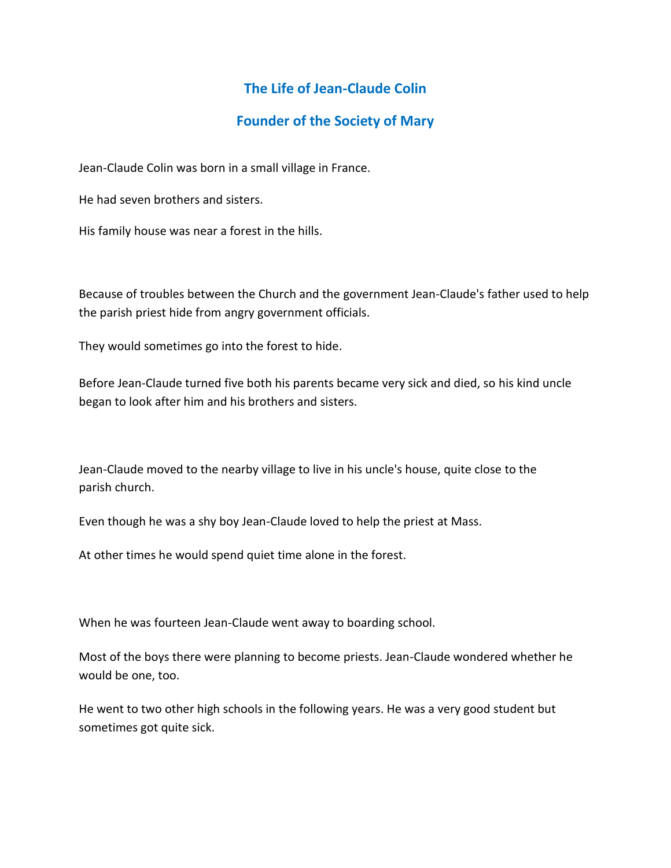## **The Life of Jean-Claude Colin**

## **Founder of the Society of Mary**

Jean-Claude Colin was born in a small village in France.

He had seven brothers and sisters.

His family house was near a forest in the hills.

Because of troubles between the Church and the government Jean-Claude's father used to help the parish priest hide from angry government officials.

They would sometimes go into the forest to hide.

Before Jean-Claude turned five both his parents became very sick and died, so his kind uncle began to look after him and his brothers and sisters.

Jean-Claude moved to the nearby village to live in his uncle's house, quite close to the parish church.

Even though he was a shy boy Jean-Claude loved to help the priest at Mass.

At other times he would spend quiet time alone in the forest.

When he was fourteen Jean-Claude went away to boarding school.

Most of the boys there were planning to become priests. Jean-Claude wondered whether he would be one, too.

He went to two other high schools in the following years. He was a very good student but sometimes got quite sick.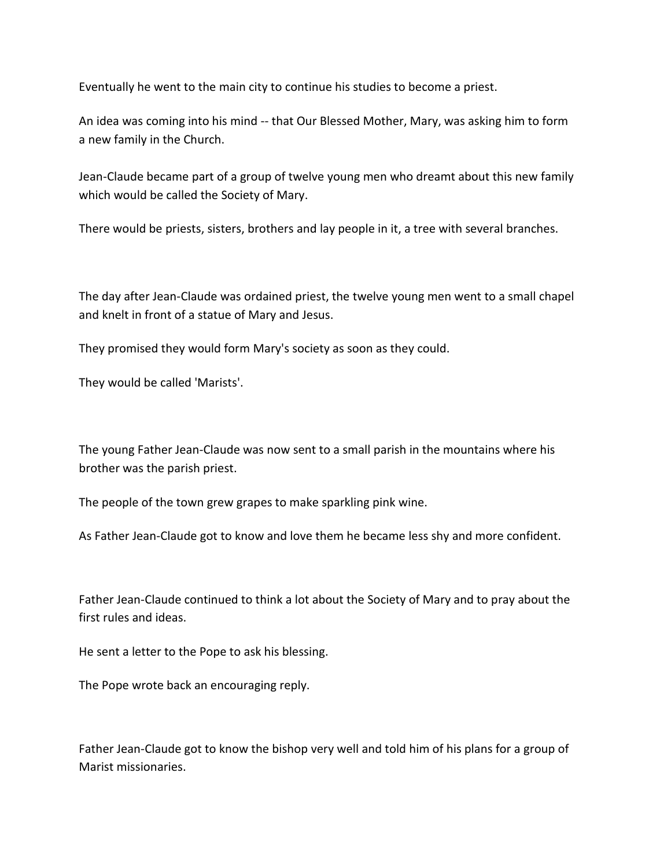Eventually he went to the main city to continue his studies to become a priest.

An idea was coming into his mind -- that Our Blessed Mother, Mary, was asking him to form a new family in the Church.

Jean-Claude became part of a group of twelve young men who dreamt about this new family which would be called the Society of Mary.

There would be priests, sisters, brothers and lay people in it, a tree with several branches.

The day after Jean-Claude was ordained priest, the twelve young men went to a small chapel and knelt in front of a statue of Mary and Jesus.

They promised they would form Mary's society as soon as they could.

They would be called 'Marists'.

The young Father Jean-Claude was now sent to a small parish in the mountains where his brother was the parish priest.

The people of the town grew grapes to make sparkling pink wine.

As Father Jean-Claude got to know and love them he became less shy and more confident.

Father Jean-Claude continued to think a lot about the Society of Mary and to pray about the first rules and ideas.

He sent a letter to the Pope to ask his blessing.

The Pope wrote back an encouraging reply.

Father Jean-Claude got to know the bishop very well and told him of his plans for a group of Marist missionaries.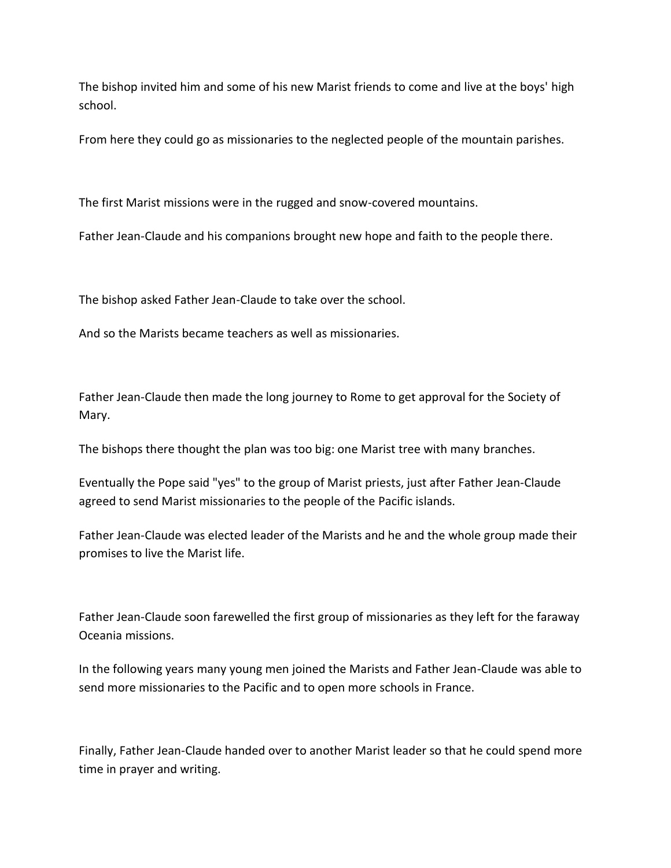The bishop invited him and some of his new Marist friends to come and live at the boys' high school.

From here they could go as missionaries to the neglected people of the mountain parishes.

The first Marist missions were in the rugged and snow-covered mountains.

Father Jean-Claude and his companions brought new hope and faith to the people there.

The bishop asked Father Jean-Claude to take over the school.

And so the Marists became teachers as well as missionaries.

Father Jean-Claude then made the long journey to Rome to get approval for the Society of Mary.

The bishops there thought the plan was too big: one Marist tree with many branches.

Eventually the Pope said "yes" to the group of Marist priests, just after Father Jean-Claude agreed to send Marist missionaries to the people of the Pacific islands.

Father Jean-Claude was elected leader of the Marists and he and the whole group made their promises to live the Marist life.

Father Jean-Claude soon farewelled the first group of missionaries as they left for the faraway Oceania missions.

In the following years many young men joined the Marists and Father Jean-Claude was able to send more missionaries to the Pacific and to open more schools in France.

Finally, Father Jean-Claude handed over to another Marist leader so that he could spend more time in prayer and writing.